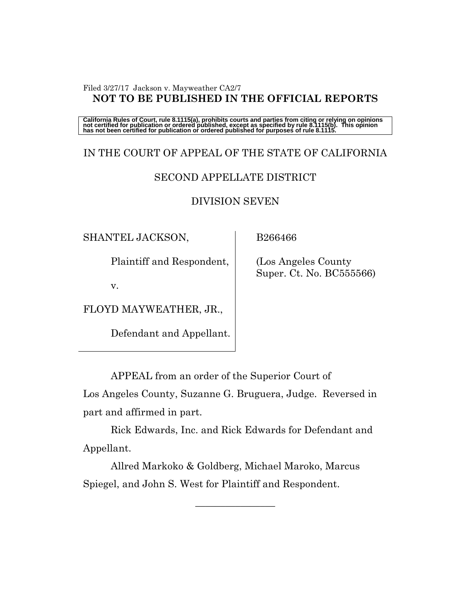#### Filed 3/27/17 Jackson v. Mayweather CA2/7 **NOT TO BE PUBLISHED IN THE OFFICIAL REPORTS**

California Rules of Court, rule 8.1115(a), prohibits courts and parties from citing or relying on opinions<br>not certified for publication or ordered published, except as specified by rule 8.1115(b). This opinion<br>has not be

# IN THE COURT OF APPEAL OF THE STATE OF CALIFORNIA SECOND APPELLATE DISTRICT

# DIVISION SEVEN

SHANTEL JACKSON,

Plaintiff and Respondent,

v.

FLOYD MAYWEATHER, JR.,

Defendant and Appellant.

B266466

 (Los Angeles County Super. Ct. No. BC555566)

APPEAL from an order of the Superior Court of

Los Angeles County, Suzanne G. Bruguera, Judge. Reversed in part and affirmed in part.

Rick Edwards, Inc. and Rick Edwards for Defendant and Appellant.

Allred Markoko & Goldberg, Michael Maroko, Marcus Spiegel, and John S. West for Plaintiff and Respondent.

 $\overline{\phantom{a}}$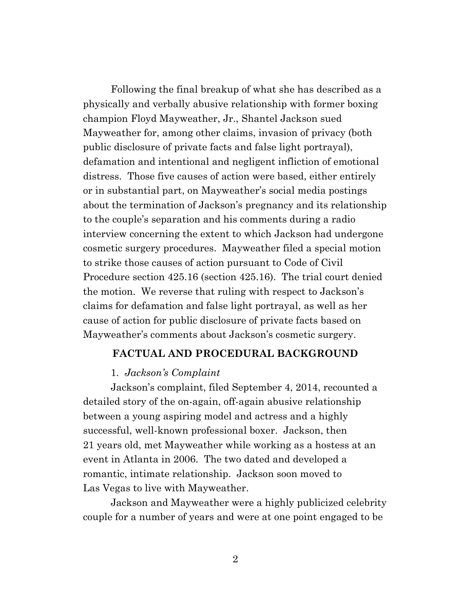Following the final breakup of what she has described as a physically and verbally abusive relationship with former boxing champion Floyd Mayweather, Jr., Shantel Jackson sued Mayweather for, among other claims, invasion of privacy (both public disclosure of private facts and false light portrayal), defamation and intentional and negligent infliction of emotional distress. Those five causes of action were based, either entirely or in substantial part, on Mayweather's social media postings about the termination of Jackson's pregnancy and its relationship to the couple's separation and his comments during a radio interview concerning the extent to which Jackson had undergone cosmetic surgery procedures. Mayweather filed a special motion to strike those causes of action pursuant to Code of Civil Procedure section 425.16 (section 425.16). The trial court denied the motion. We reverse that ruling with respect to Jackson's claims for defamation and false light portrayal, as well as her cause of action for public disclosure of private facts based on Mayweather's comments about Jackson's cosmetic surgery.

#### **FACTUAL AND PROCEDURAL BACKGROUND**

#### 1. *Jackson's Complaint*

Jackson's complaint, filed September 4, 2014, recounted a detailed story of the on-again, off-again abusive relationship between a young aspiring model and actress and a highly successful, well-known professional boxer. Jackson, then 21 years old, met Mayweather while working as a hostess at an event in Atlanta in 2006. The two dated and developed a romantic, intimate relationship. Jackson soon moved to Las Vegas to live with Mayweather.

Jackson and Mayweather were a highly publicized celebrity couple for a number of years and were at one point engaged to be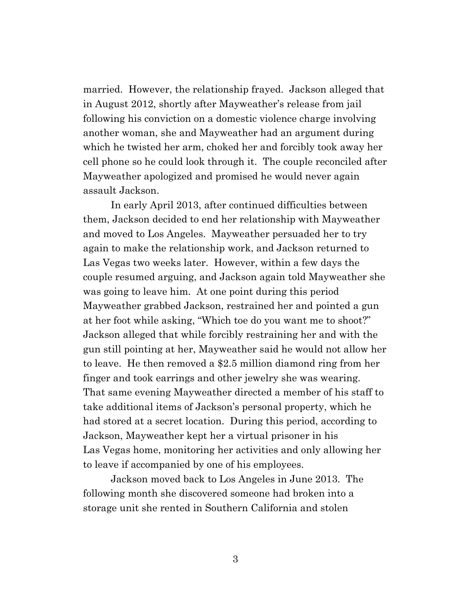married. However, the relationship frayed. Jackson alleged that in August 2012, shortly after Mayweather's release from jail following his conviction on a domestic violence charge involving another woman, she and Mayweather had an argument during which he twisted her arm, choked her and forcibly took away her cell phone so he could look through it. The couple reconciled after Mayweather apologized and promised he would never again assault Jackson.

In early April 2013, after continued difficulties between them, Jackson decided to end her relationship with Mayweather and moved to Los Angeles. Mayweather persuaded her to try again to make the relationship work, and Jackson returned to Las Vegas two weeks later. However, within a few days the couple resumed arguing, and Jackson again told Mayweather she was going to leave him. At one point during this period Mayweather grabbed Jackson, restrained her and pointed a gun at her foot while asking, "Which toe do you want me to shoot?" Jackson alleged that while forcibly restraining her and with the gun still pointing at her, Mayweather said he would not allow her to leave. He then removed a \$2.5 million diamond ring from her finger and took earrings and other jewelry she was wearing. That same evening Mayweather directed a member of his staff to take additional items of Jackson's personal property, which he had stored at a secret location. During this period, according to Jackson, Mayweather kept her a virtual prisoner in his Las Vegas home, monitoring her activities and only allowing her to leave if accompanied by one of his employees.

Jackson moved back to Los Angeles in June 2013. The following month she discovered someone had broken into a storage unit she rented in Southern California and stolen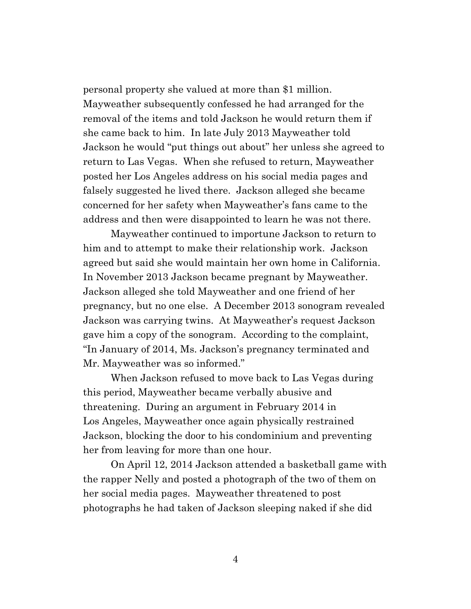personal property she valued at more than \$1 million. Mayweather subsequently confessed he had arranged for the removal of the items and told Jackson he would return them if she came back to him. In late July 2013 Mayweather told Jackson he would "put things out about" her unless she agreed to return to Las Vegas. When she refused to return, Mayweather posted her Los Angeles address on his social media pages and falsely suggested he lived there. Jackson alleged she became concerned for her safety when Mayweather's fans came to the address and then were disappointed to learn he was not there.

Mayweather continued to importune Jackson to return to him and to attempt to make their relationship work. Jackson agreed but said she would maintain her own home in California. In November 2013 Jackson became pregnant by Mayweather. Jackson alleged she told Mayweather and one friend of her pregnancy, but no one else. A December 2013 sonogram revealed Jackson was carrying twins. At Mayweather's request Jackson gave him a copy of the sonogram. According to the complaint, "In January of 2014, Ms. Jackson's pregnancy terminated and Mr. Mayweather was so informed."

When Jackson refused to move back to Las Vegas during this period, Mayweather became verbally abusive and threatening. During an argument in February 2014 in Los Angeles, Mayweather once again physically restrained Jackson, blocking the door to his condominium and preventing her from leaving for more than one hour.

On April 12, 2014 Jackson attended a basketball game with the rapper Nelly and posted a photograph of the two of them on her social media pages. Mayweather threatened to post photographs he had taken of Jackson sleeping naked if she did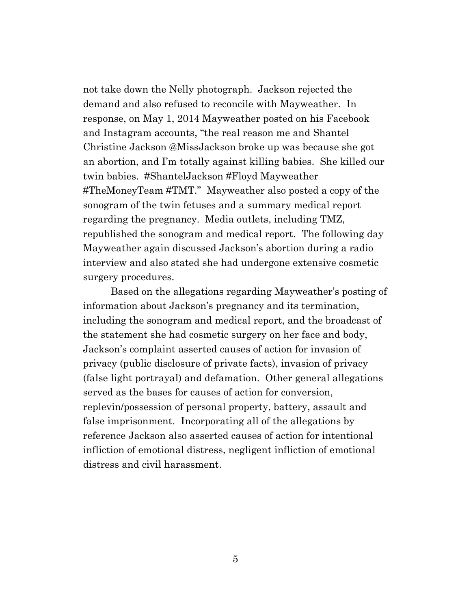not take down the Nelly photograph. Jackson rejected the demand and also refused to reconcile with Mayweather. In response, on May 1, 2014 Mayweather posted on his Facebook and Instagram accounts, "the real reason me and Shantel Christine Jackson @MissJackson broke up was because she got an abortion, and I'm totally against killing babies. She killed our twin babies. #ShantelJackson #Floyd Mayweather #TheMoneyTeam #TMT." Mayweather also posted a copy of the sonogram of the twin fetuses and a summary medical report regarding the pregnancy. Media outlets, including TMZ, republished the sonogram and medical report. The following day Mayweather again discussed Jackson's abortion during a radio interview and also stated she had undergone extensive cosmetic surgery procedures.

Based on the allegations regarding Mayweather's posting of information about Jackson's pregnancy and its termination, including the sonogram and medical report, and the broadcast of the statement she had cosmetic surgery on her face and body, Jackson's complaint asserted causes of action for invasion of privacy (public disclosure of private facts), invasion of privacy (false light portrayal) and defamation. Other general allegations served as the bases for causes of action for conversion, replevin/possession of personal property, battery, assault and false imprisonment. Incorporating all of the allegations by reference Jackson also asserted causes of action for intentional infliction of emotional distress, negligent infliction of emotional distress and civil harassment.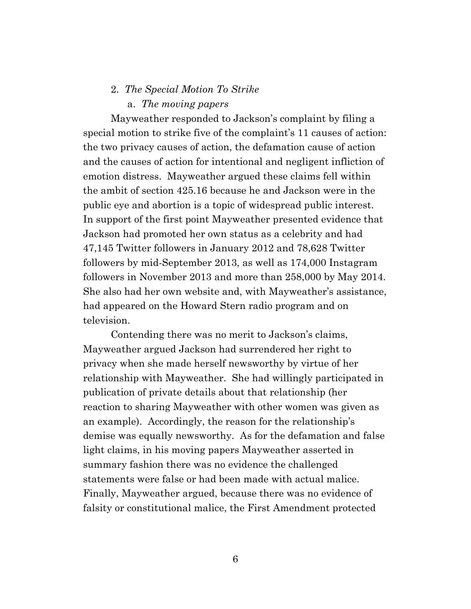# 2. *The Special Motion To Strike* a. *The moving papers*

Mayweather responded to Jackson's complaint by filing a special motion to strike five of the complaint's 11 causes of action: the two privacy causes of action, the defamation cause of action and the causes of action for intentional and negligent infliction of emotion distress. Mayweather argued these claims fell within the ambit of section 425.16 because he and Jackson were in the public eye and abortion is a topic of widespread public interest. In support of the first point Mayweather presented evidence that Jackson had promoted her own status as a celebrity and had 47,145 Twitter followers in January 2012 and 78,628 Twitter followers by mid-September 2013, as well as 174,000 Instagram followers in November 2013 and more than 258,000 by May 2014. She also had her own website and, with Mayweather's assistance, had appeared on the Howard Stern radio program and on television.

Contending there was no merit to Jackson's claims, Mayweather argued Jackson had surrendered her right to privacy when she made herself newsworthy by virtue of her relationship with Mayweather. She had willingly participated in publication of private details about that relationship (her reaction to sharing Mayweather with other women was given as an example). Accordingly, the reason for the relationship's demise was equally newsworthy. As for the defamation and false light claims, in his moving papers Mayweather asserted in summary fashion there was no evidence the challenged statements were false or had been made with actual malice. Finally, Mayweather argued, because there was no evidence of falsity or constitutional malice, the First Amendment protected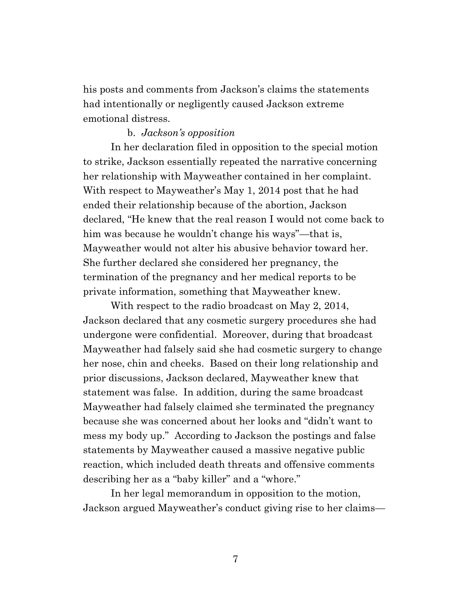his posts and comments from Jackson's claims the statements had intentionally or negligently caused Jackson extreme emotional distress.

# b. *Jackson's opposition*

In her declaration filed in opposition to the special motion to strike, Jackson essentially repeated the narrative concerning her relationship with Mayweather contained in her complaint. With respect to Mayweather's May 1, 2014 post that he had ended their relationship because of the abortion, Jackson declared, "He knew that the real reason I would not come back to him was because he wouldn't change his ways"—that is, Mayweather would not alter his abusive behavior toward her. She further declared she considered her pregnancy, the termination of the pregnancy and her medical reports to be private information, something that Mayweather knew.

With respect to the radio broadcast on May 2, 2014, Jackson declared that any cosmetic surgery procedures she had undergone were confidential. Moreover, during that broadcast Mayweather had falsely said she had cosmetic surgery to change her nose, chin and cheeks. Based on their long relationship and prior discussions, Jackson declared, Mayweather knew that statement was false. In addition, during the same broadcast Mayweather had falsely claimed she terminated the pregnancy because she was concerned about her looks and "didn't want to mess my body up." According to Jackson the postings and false statements by Mayweather caused a massive negative public reaction, which included death threats and offensive comments describing her as a "baby killer" and a "whore."

In her legal memorandum in opposition to the motion, Jackson argued Mayweather's conduct giving rise to her claims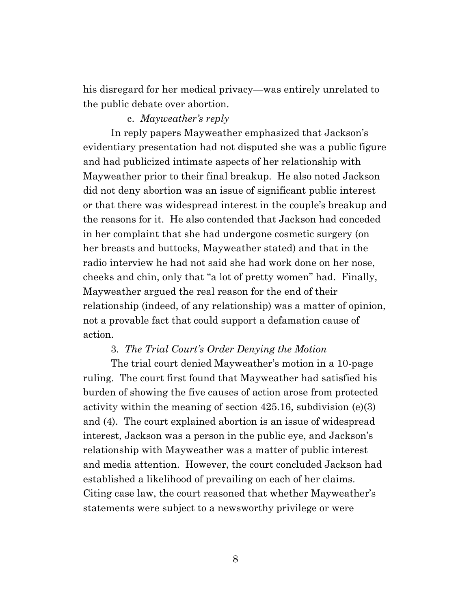his disregard for her medical privacy—was entirely unrelated to the public debate over abortion.

# c. *Mayweather's reply*

In reply papers Mayweather emphasized that Jackson's evidentiary presentation had not disputed she was a public figure and had publicized intimate aspects of her relationship with Mayweather prior to their final breakup. He also noted Jackson did not deny abortion was an issue of significant public interest or that there was widespread interest in the couple's breakup and the reasons for it. He also contended that Jackson had conceded in her complaint that she had undergone cosmetic surgery (on her breasts and buttocks, Mayweather stated) and that in the radio interview he had not said she had work done on her nose, cheeks and chin, only that "a lot of pretty women" had. Finally, Mayweather argued the real reason for the end of their relationship (indeed, of any relationship) was a matter of opinion, not a provable fact that could support a defamation cause of action.

#### 3. *The Trial Court's Order Denying the Motion*

The trial court denied Mayweather's motion in a 10-page ruling. The court first found that Mayweather had satisfied his burden of showing the five causes of action arose from protected activity within the meaning of section 425.16, subdivision (e)(3) and (4). The court explained abortion is an issue of widespread interest, Jackson was a person in the public eye, and Jackson's relationship with Mayweather was a matter of public interest and media attention. However, the court concluded Jackson had established a likelihood of prevailing on each of her claims. Citing case law, the court reasoned that whether Mayweather's statements were subject to a newsworthy privilege or were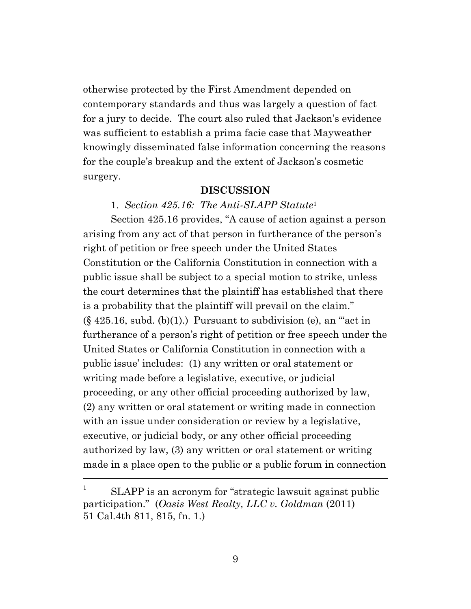otherwise protected by the First Amendment depended on contemporary standards and thus was largely a question of fact for a jury to decide. The court also ruled that Jackson's evidence was sufficient to establish a prima facie case that Mayweather knowingly disseminated false information concerning the reasons for the couple's breakup and the extent of Jackson's cosmetic surgery.

# **DISCUSSION**

## 1. *Section 425.16: The Anti-SLAPP Statute*<sup>1</sup>

Section 425.16 provides, "A cause of action against a person arising from any act of that person in furtherance of the person's right of petition or free speech under the United States Constitution or the California Constitution in connection with a public issue shall be subject to a special motion to strike, unless the court determines that the plaintiff has established that there is a probability that the plaintiff will prevail on the claim."  $(\S 425.16, \text{subd. (b)}(1))$  Pursuant to subdivision (e), an "act in furtherance of a person's right of petition or free speech under the United States or California Constitution in connection with a public issue' includes: (1) any written or oral statement or writing made before a legislative, executive, or judicial proceeding, or any other official proceeding authorized by law, (2) any written or oral statement or writing made in connection with an issue under consideration or review by a legislative, executive, or judicial body, or any other official proceeding authorized by law, (3) any written or oral statement or writing made in a place open to the public or a public forum in connection

<sup>1</sup> SLAPP is an acronym for "strategic lawsuit against public participation." (*Oasis West Realty, LLC v. Goldman* (2011) 51 Cal.4th 811, 815, fn. 1.)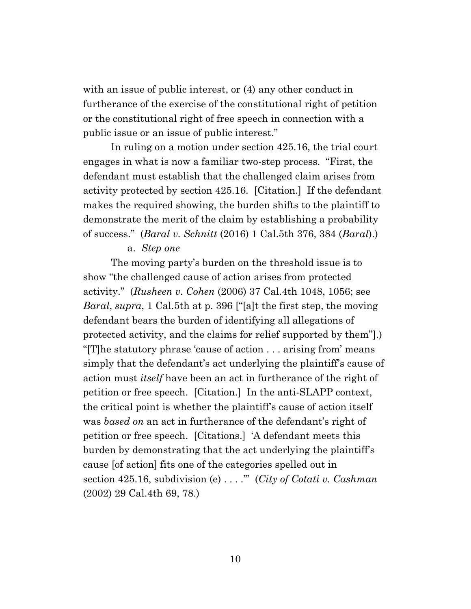with an issue of public interest, or (4) any other conduct in furtherance of the exercise of the constitutional right of petition or the constitutional right of free speech in connection with a public issue or an issue of public interest."

In ruling on a motion under section 425.16, the trial court engages in what is now a familiar two-step process. "First, the defendant must establish that the challenged claim arises from activity protected by section 425.16. [Citation.] If the defendant makes the required showing, the burden shifts to the plaintiff to demonstrate the merit of the claim by establishing a probability of success." (*Baral v. Schnitt* (2016) 1 Cal.5th 376, 384 (*Baral*).)

#### a. *Step one*

The moving party's burden on the threshold issue is to show "the challenged cause of action arises from protected activity." (*Rusheen v. Cohen* (2006) 37 Cal.4th 1048, 1056; see *Baral*, *supra*, 1 Cal.5th at p. 396 ["[a]t the first step, the moving defendant bears the burden of identifying all allegations of protected activity, and the claims for relief supported by them"].) "[T]he statutory phrase 'cause of action . . . arising from' means simply that the defendant's act underlying the plaintiff's cause of action must *itself* have been an act in furtherance of the right of petition or free speech. [Citation.] In the anti-SLAPP context, the critical point is whether the plaintiff's cause of action itself was *based on* an act in furtherance of the defendant's right of petition or free speech. [Citations.] 'A defendant meets this burden by demonstrating that the act underlying the plaintiff's cause [of action] fits one of the categories spelled out in section 425.16, subdivision (e) . . . .'" (*City of Cotati v. Cashman* (2002) 29 Cal.4th 69, 78.)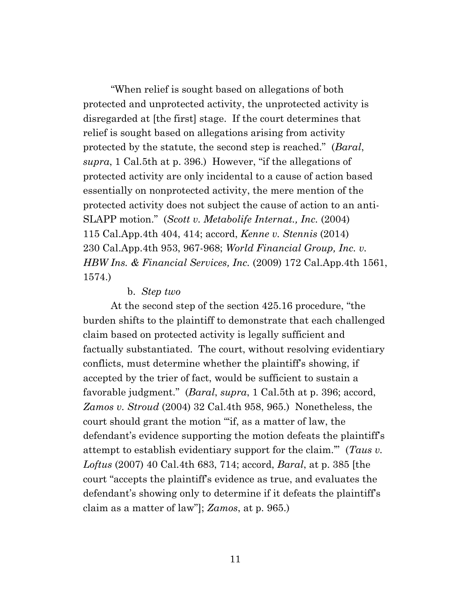"When relief is sought based on allegations of both protected and unprotected activity, the unprotected activity is disregarded at [the first] stage. If the court determines that relief is sought based on allegations arising from activity protected by the statute, the second step is reached." (*Baral*, *supra*, 1 Cal.5th at p. 396.) However, "if the allegations of protected activity are only incidental to a cause of action based essentially on nonprotected activity, the mere mention of the protected activity does not subject the cause of action to an anti-SLAPP motion." (*Scott v. Metabolife Internat., Inc.* (2004) 115 Cal.App.4th 404, 414; accord, *Kenne v. Stennis* (2014) 230 Cal.App.4th 953, 967-968; *World Financial Group, Inc. v. HBW Ins. & Financial Services, Inc.* (2009) 172 Cal.App.4th 1561, 1574.)

#### b. *Step two*

At the second step of the section 425.16 procedure, "the burden shifts to the plaintiff to demonstrate that each challenged claim based on protected activity is legally sufficient and factually substantiated. The court, without resolving evidentiary conflicts, must determine whether the plaintiff's showing, if accepted by the trier of fact, would be sufficient to sustain a favorable judgment." (*Baral*, *supra*, 1 Cal.5th at p. 396; accord, *Zamos v. Stroud* (2004) 32 Cal.4th 958, 965.) Nonetheless, the court should grant the motion "'if, as a matter of law, the defendant's evidence supporting the motion defeats the plaintiff's attempt to establish evidentiary support for the claim.'" (*Taus v. Loftus* (2007) 40 Cal.4th 683, 714; accord, *Baral*, at p. 385 [the court "accepts the plaintiff's evidence as true, and evaluates the defendant's showing only to determine if it defeats the plaintiff's claim as a matter of law"]; *Zamos*, at p. 965.)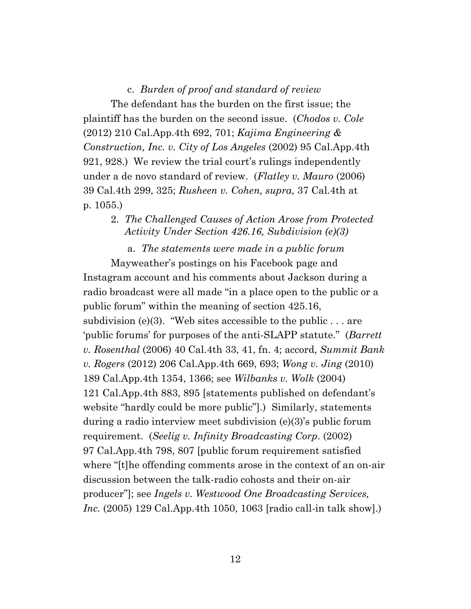#### c. *Burden of proof and standard of review*

The defendant has the burden on the first issue; the plaintiff has the burden on the second issue. (*Chodos v. Cole*  (2012) 210 Cal.App.4th 692, 701; *Kajima Engineering & Construction, Inc. v. City of Los Angeles* (2002) 95 Cal.App.4th 921, 928.) We review the trial court's rulings independently under a de novo standard of review. (*Flatley v. Mauro* (2006) 39 Cal.4th 299, 325; *Rusheen v. Cohen, supra,* 37 Cal.4th at p. 1055.)

# 2. *The Challenged Causes of Action Arose from Protected Activity Under Section 426.16, Subdivision (e)(3)*

a. *The statements were made in a public forum* Mayweather's postings on his Facebook page and Instagram account and his comments about Jackson during a radio broadcast were all made "in a place open to the public or a public forum" within the meaning of section 425.16, subdivision (e)(3). "Web sites accessible to the public  $\dots$  are 'public forums' for purposes of the anti-SLAPP statute." (*Barrett v. Rosenthal* (2006) 40 Cal.4th 33, 41, fn. 4; accord, *Summit Bank v. Rogers* (2012) 206 Cal.App.4th 669, 693; *Wong v. Jing* (2010)

189 Cal.App.4th 1354, 1366; see *Wilbanks v. Wolk* (2004) 121 Cal.App.4th 883, 895 [statements published on defendant's website "hardly could be more public"].) Similarly, statements during a radio interview meet subdivision (e)(3)'s public forum requirement. (*Seelig v. Infinity Broadcasting Corp*. (2002) 97 Cal.App.4th 798, 807 [public forum requirement satisfied where "[t]he offending comments arose in the context of an on-air discussion between the talk-radio cohosts and their on-air producer"]; see *Ingels v. Westwood One Broadcasting Services, Inc.* (2005) 129 Cal.App.4th 1050, 1063 [radio call-in talk show].)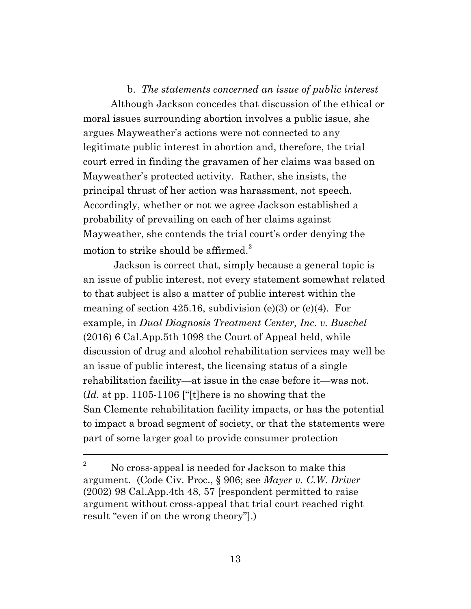#### b. *The statements concerned an issue of public interest*

Although Jackson concedes that discussion of the ethical or moral issues surrounding abortion involves a public issue, she argues Mayweather's actions were not connected to any legitimate public interest in abortion and, therefore, the trial court erred in finding the gravamen of her claims was based on Mayweather's protected activity. Rather, she insists, the principal thrust of her action was harassment, not speech. Accordingly, whether or not we agree Jackson established a probability of prevailing on each of her claims against Mayweather, she contends the trial court's order denying the motion to strike should be affirmed. $^{2}$ 

Jackson is correct that, simply because a general topic is an issue of public interest, not every statement somewhat related to that subject is also a matter of public interest within the meaning of section 425.16, subdivision  $(e)(3)$  or  $(e)(4)$ . For example, in *Dual Diagnosis Treatment Center, Inc. v. Buschel* (2016) 6 Cal.App.5th 1098 the Court of Appeal held, while discussion of drug and alcohol rehabilitation services may well be an issue of public interest, the licensing status of a single rehabilitation facility—at issue in the case before it—was not. (*Id.* at pp. 1105-1106 ["[t]here is no showing that the San Clemente rehabilitation facility impacts, or has the potential to impact a broad segment of society, or that the statements were part of some larger goal to provide consumer protection

<sup>&</sup>lt;sup>2</sup> No cross-appeal is needed for Jackson to make this argument. (Code Civ. Proc., § 906; see *Mayer v. C.W. Driver* (2002) 98 Cal.App.4th 48, 57 [respondent permitted to raise argument without cross-appeal that trial court reached right result "even if on the wrong theory"].)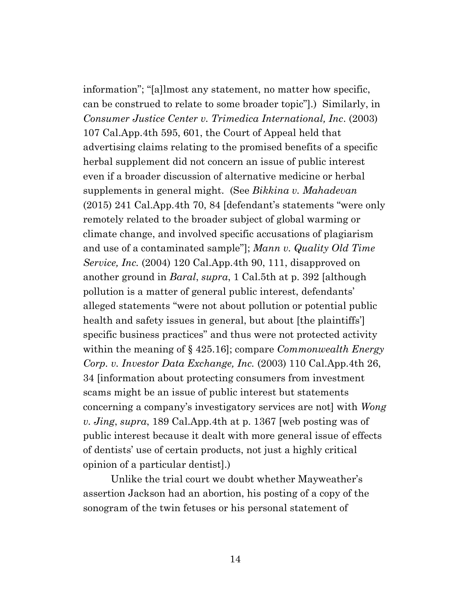information"; "[a]lmost any statement, no matter how specific, can be construed to relate to some broader topic"].) Similarly, in *Consumer Justice Center v. Trimedica International, Inc*. (2003) 107 Cal.App.4th 595, 601, the Court of Appeal held that advertising claims relating to the promised benefits of a specific herbal supplement did not concern an issue of public interest even if a broader discussion of alternative medicine or herbal supplements in general might. (See *Bikkina v. Mahadevan* (2015) 241 Cal.App.4th 70, 84 [defendant's statements "were only remotely related to the broader subject of global warming or climate change, and involved specific accusations of plagiarism and use of a contaminated sample"]; *Mann v. Quality Old Time Service, Inc.* (2004) 120 Cal.App.4th 90, 111, disapproved on another ground in *Baral*, *supra*, 1 Cal.5th at p. 392 [although pollution is a matter of general public interest, defendants' alleged statements "were not about pollution or potential public health and safety issues in general, but about [the plaintiffs'] specific business practices" and thus were not protected activity within the meaning of § 425.16]; compare *Commonwealth Energy Corp. v. Investor Data Exchange, Inc.* (2003) 110 Cal.App.4th 26, 34 [information about protecting consumers from investment scams might be an issue of public interest but statements concerning a company's investigatory services are not] with *Wong v. Jing*, *supra*, 189 Cal.App.4th at p. 1367 [web posting was of public interest because it dealt with more general issue of effects of dentists' use of certain products, not just a highly critical opinion of a particular dentist].)

Unlike the trial court we doubt whether Mayweather's assertion Jackson had an abortion, his posting of a copy of the sonogram of the twin fetuses or his personal statement of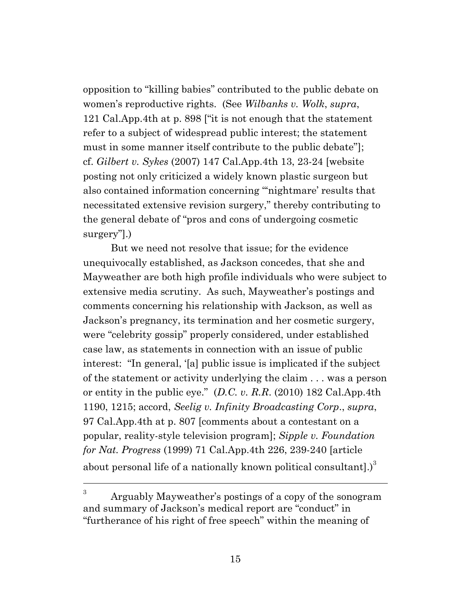opposition to "killing babies" contributed to the public debate on women's reproductive rights. (See *Wilbanks v. Wolk*, *supra*, 121 Cal.App.4th at p. 898 ["it is not enough that the statement refer to a subject of widespread public interest; the statement must in some manner itself contribute to the public debate"]; cf. *Gilbert v. Sykes* (2007) 147 Cal.App.4th 13, 23-24 [website posting not only criticized a widely known plastic surgeon but also contained information concerning "'nightmare' results that necessitated extensive revision surgery," thereby contributing to the general debate of "pros and cons of undergoing cosmetic surgery"].)

But we need not resolve that issue; for the evidence unequivocally established, as Jackson concedes, that she and Mayweather are both high profile individuals who were subject to extensive media scrutiny. As such, Mayweather's postings and comments concerning his relationship with Jackson, as well as Jackson's pregnancy, its termination and her cosmetic surgery, were "celebrity gossip" properly considered, under established case law, as statements in connection with an issue of public interest: "In general, '[a] public issue is implicated if the subject of the statement or activity underlying the claim . . . was a person or entity in the public eye." (*D.C. v. R.R*. (2010) 182 Cal.App.4th 1190, 1215; accord, *Seelig v. Infinity Broadcasting Corp*., *supra*, 97 Cal.App.4th at p. 807 [comments about a contestant on a popular, reality-style television program]; *Sipple v. Foundation for Nat. Progress* (1999) 71 Cal.App.4th 226, 239-240 [article about personal life of a nationally known political consultantl.) $3$ 

<sup>3</sup> Arguably Mayweather's postings of a copy of the sonogram and summary of Jackson's medical report are "conduct" in "furtherance of his right of free speech" within the meaning of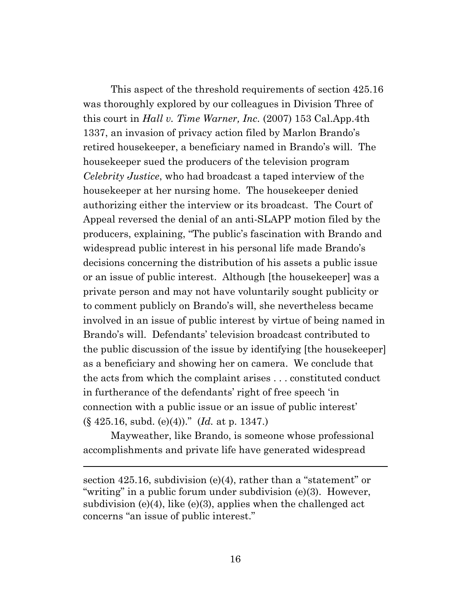This aspect of the threshold requirements of section 425.16 was thoroughly explored by our colleagues in Division Three of this court in *Hall v. Time Warner, Inc.* (2007) 153 Cal.App.4th 1337, an invasion of privacy action filed by Marlon Brando's retired housekeeper, a beneficiary named in Brando's will. The housekeeper sued the producers of the television program *Celebrity Justice*, who had broadcast a taped interview of the housekeeper at her nursing home. The housekeeper denied authorizing either the interview or its broadcast. The Court of Appeal reversed the denial of an anti-SLAPP motion filed by the producers, explaining, "The public's fascination with Brando and widespread public interest in his personal life made Brando's decisions concerning the distribution of his assets a public issue or an issue of public interest. Although [the housekeeper] was a private person and may not have voluntarily sought publicity or to comment publicly on Brando's will, she nevertheless became involved in an issue of public interest by virtue of being named in Brando's will. Defendants' television broadcast contributed to the public discussion of the issue by identifying [the housekeeper] as a beneficiary and showing her on camera. We conclude that the acts from which the complaint arises . . . constituted conduct in furtherance of the defendants' right of free speech 'in connection with a public issue or an issue of public interest' (§ 425.16, subd. (e)(4))." (*Id.* at p. 1347.)

Mayweather, like Brando, is someone whose professional accomplishments and private life have generated widespread

section 425.16, subdivision (e)(4), rather than a "statement" or "writing" in a public forum under subdivision (e)(3). However, subdivision (e)(4), like (e)(3), applies when the challenged act concerns "an issue of public interest."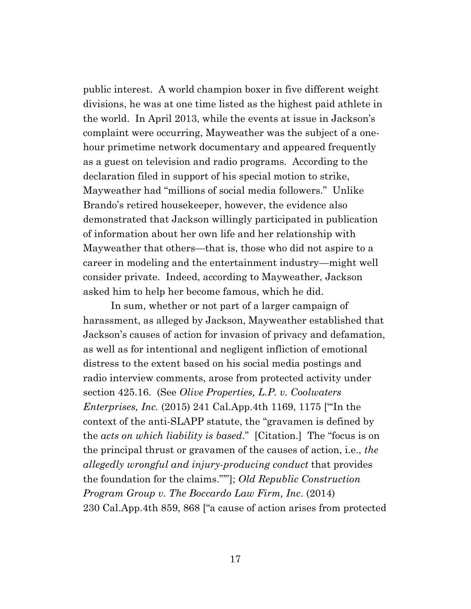public interest. A world champion boxer in five different weight divisions, he was at one time listed as the highest paid athlete in the world. In April 2013, while the events at issue in Jackson's complaint were occurring, Mayweather was the subject of a onehour primetime network documentary and appeared frequently as a guest on television and radio programs. According to the declaration filed in support of his special motion to strike, Mayweather had "millions of social media followers." Unlike Brando's retired housekeeper, however, the evidence also demonstrated that Jackson willingly participated in publication of information about her own life and her relationship with Mayweather that others—that is, those who did not aspire to a career in modeling and the entertainment industry—might well consider private. Indeed, according to Mayweather, Jackson asked him to help her become famous, which he did.

In sum, whether or not part of a larger campaign of harassment, as alleged by Jackson, Mayweather established that Jackson's causes of action for invasion of privacy and defamation, as well as for intentional and negligent infliction of emotional distress to the extent based on his social media postings and radio interview comments, arose from protected activity under section 425.16. (See *Olive Properties, L.P. v. Coolwaters Enterprises, Inc.* (2015) 241 Cal.App.4th 1169, 1175 ["'In the context of the anti-SLAPP statute, the "gravamen is defined by the *acts on which liability is based*." [Citation.] The "focus is on the principal thrust or gravamen of the causes of action, i.e., *the allegedly wrongful and injury-producing conduct* that provides the foundation for the claims."'"]; *Old Republic Construction Program Group v. The Boccardo Law Firm, Inc*. (2014) 230 Cal.App.4th 859, 868 ["a cause of action arises from protected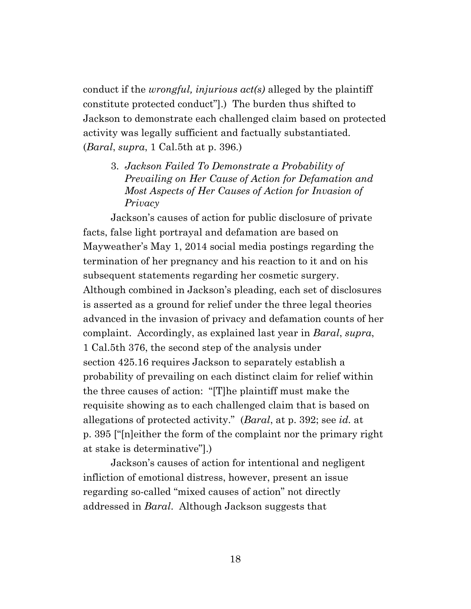conduct if the *wrongful, injurious act(s)* alleged by the plaintiff constitute protected conduct"].) The burden thus shifted to Jackson to demonstrate each challenged claim based on protected activity was legally sufficient and factually substantiated. (*Baral*, *supra*, 1 Cal.5th at p. 396.)

3. *Jackson Failed To Demonstrate a Probability of Prevailing on Her Cause of Action for Defamation and Most Aspects of Her Causes of Action for Invasion of Privacy*

Jackson's causes of action for public disclosure of private facts, false light portrayal and defamation are based on Mayweather's May 1, 2014 social media postings regarding the termination of her pregnancy and his reaction to it and on his subsequent statements regarding her cosmetic surgery. Although combined in Jackson's pleading, each set of disclosures is asserted as a ground for relief under the three legal theories advanced in the invasion of privacy and defamation counts of her complaint. Accordingly, as explained last year in *Baral*, *supra*, 1 Cal.5th 376, the second step of the analysis under section 425.16 requires Jackson to separately establish a probability of prevailing on each distinct claim for relief within the three causes of action: "[T]he plaintiff must make the requisite showing as to each challenged claim that is based on allegations of protected activity." (*Baral*, at p. 392; see *id.* at p. 395 ["[n]either the form of the complaint nor the primary right at stake is determinative"].)

Jackson's causes of action for intentional and negligent infliction of emotional distress, however, present an issue regarding so-called "mixed causes of action" not directly addressed in *Baral*. Although Jackson suggests that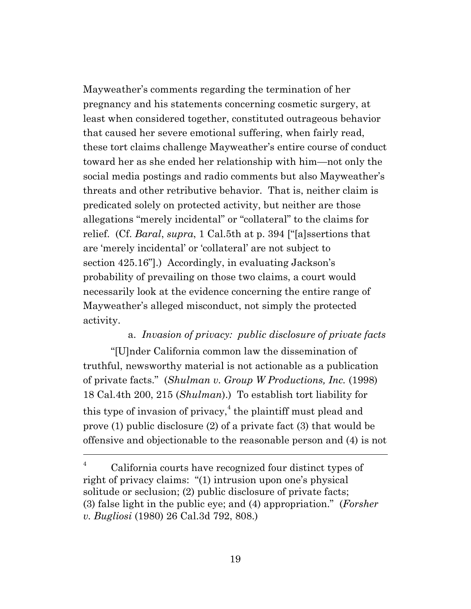Mayweather's comments regarding the termination of her pregnancy and his statements concerning cosmetic surgery, at least when considered together, constituted outrageous behavior that caused her severe emotional suffering, when fairly read, these tort claims challenge Mayweather's entire course of conduct toward her as she ended her relationship with him—not only the social media postings and radio comments but also Mayweather's threats and other retributive behavior. That is, neither claim is predicated solely on protected activity, but neither are those allegations "merely incidental" or "collateral" to the claims for relief. (Cf. *Baral*, *supra*, 1 Cal.5th at p. 394 ["[a]ssertions that are 'merely incidental' or 'collateral' are not subject to section 425.16"].) Accordingly, in evaluating Jackson's probability of prevailing on those two claims, a court would necessarily look at the evidence concerning the entire range of Mayweather's alleged misconduct, not simply the protected activity.

# a. *Invasion of privacy: public disclosure of private facts*

"[U]nder California common law the dissemination of truthful, newsworthy material is not actionable as a publication of private facts." (*Shulman v. Group W Productions, Inc.* (1998) 18 Cal.4th 200, 215 (*Shulman*).) To establish tort liability for this type of invasion of privacy,<sup>4</sup> the plaintiff must plead and prove (1) public disclosure (2) of a private fact (3) that would be offensive and objectionable to the reasonable person and (4) is not

California courts have recognized four distinct types of right of privacy claims: "(1) intrusion upon one's physical solitude or seclusion; (2) public disclosure of private facts; (3) false light in the public eye; and (4) appropriation." (*Forsher v. Bugliosi* (1980) 26 Cal.3d 792, 808.)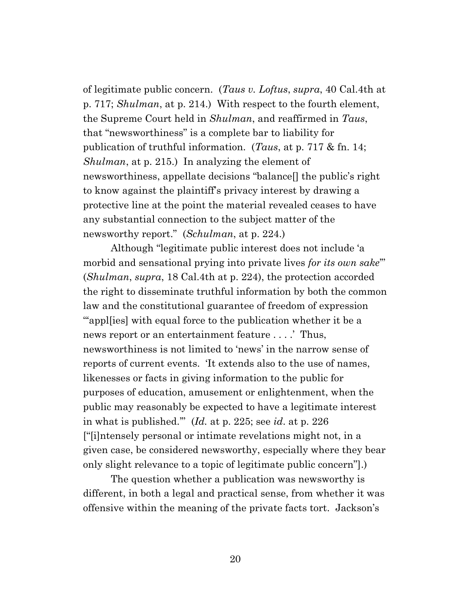of legitimate public concern. (*Taus v. Loftus*, *supra*, 40 Cal.4th at p. 717; *Shulman*, at p. 214.) With respect to the fourth element, the Supreme Court held in *Shulman*, and reaffirmed in *Taus*, that "newsworthiness" is a complete bar to liability for publication of truthful information. (*Taus*, at p. 717 & fn. 14; *Shulman*, at p. 215.) In analyzing the element of newsworthiness, appellate decisions "balance[] the public's right to know against the plaintiff's privacy interest by drawing a protective line at the point the material revealed ceases to have any substantial connection to the subject matter of the newsworthy report." (*Schulman*, at p. 224.)

Although "legitimate public interest does not include 'a morbid and sensational prying into private lives *for its own sake*'" (*Shulman*, *supra*, 18 Cal.4th at p. 224), the protection accorded the right to disseminate truthful information by both the common law and the constitutional guarantee of freedom of expression """" applies" with equal force to the publication whether it be a news report or an entertainment feature . . . .' Thus, newsworthiness is not limited to 'news' in the narrow sense of reports of current events. 'It extends also to the use of names, likenesses or facts in giving information to the public for purposes of education, amusement or enlightenment, when the public may reasonably be expected to have a legitimate interest in what is published.'" (*Id.* at p. 225; see *id*. at p. 226 ["[i]ntensely personal or intimate revelations might not, in a given case, be considered newsworthy, especially where they bear only slight relevance to a topic of legitimate public concern"].)

The question whether a publication was newsworthy is different, in both a legal and practical sense, from whether it was offensive within the meaning of the private facts tort. Jackson's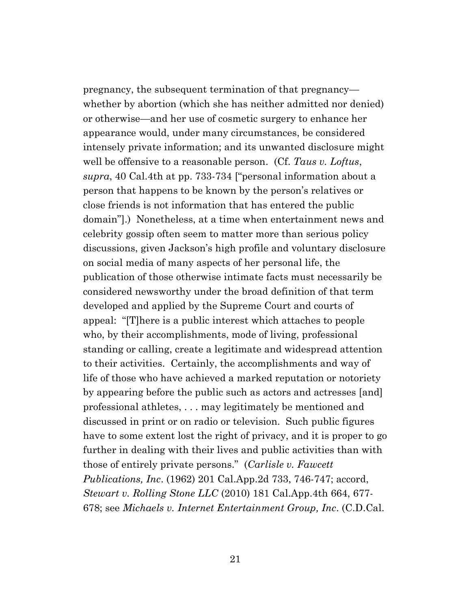pregnancy, the subsequent termination of that pregnancy whether by abortion (which she has neither admitted nor denied) or otherwise—and her use of cosmetic surgery to enhance her appearance would, under many circumstances, be considered intensely private information; and its unwanted disclosure might well be offensive to a reasonable person. (Cf. *Taus v. Loftus*, *supra*, 40 Cal.4th at pp. 733-734 ["personal information about a person that happens to be known by the person's relatives or close friends is not information that has entered the public domain"].) Nonetheless, at a time when entertainment news and celebrity gossip often seem to matter more than serious policy discussions, given Jackson's high profile and voluntary disclosure on social media of many aspects of her personal life, the publication of those otherwise intimate facts must necessarily be considered newsworthy under the broad definition of that term developed and applied by the Supreme Court and courts of appeal: "[T]here is a public interest which attaches to people who, by their accomplishments, mode of living, professional standing or calling, create a legitimate and widespread attention to their activities. Certainly, the accomplishments and way of life of those who have achieved a marked reputation or notoriety by appearing before the public such as actors and actresses [and] professional athletes, . . . may legitimately be mentioned and discussed in print or on radio or television. Such public figures have to some extent lost the right of privacy, and it is proper to go further in dealing with their lives and public activities than with those of entirely private persons." (*Carlisle v. Fawcett Publications, Inc*. (1962) 201 Cal.App.2d 733, 746-747; accord, *Stewart v. Rolling Stone LLC* (2010) 181 Cal.App.4th 664, 677- 678; see *Michaels v. Internet Entertainment Group, Inc*. (C.D.Cal.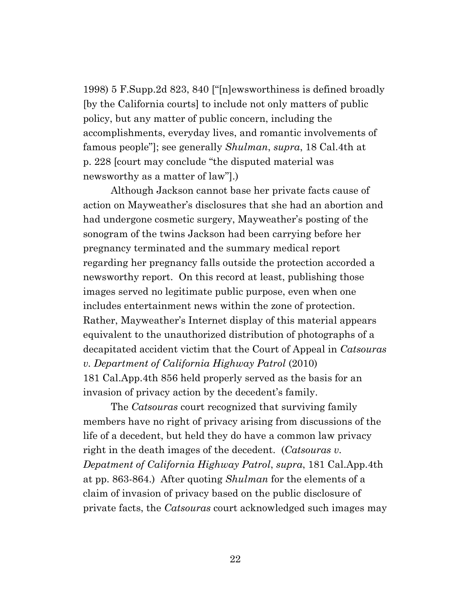1998) 5 F.Supp.2d 823, 840 ["[n]ewsworthiness is defined broadly [by the California courts] to include not only matters of public policy, but any matter of public concern, including the accomplishments, everyday lives, and romantic involvements of famous people"]; see generally *Shulman*, *supra*, 18 Cal.4th at p. 228 [court may conclude "the disputed material was newsworthy as a matter of law"].)

Although Jackson cannot base her private facts cause of action on Mayweather's disclosures that she had an abortion and had undergone cosmetic surgery, Mayweather's posting of the sonogram of the twins Jackson had been carrying before her pregnancy terminated and the summary medical report regarding her pregnancy falls outside the protection accorded a newsworthy report. On this record at least, publishing those images served no legitimate public purpose, even when one includes entertainment news within the zone of protection. Rather, Mayweather's Internet display of this material appears equivalent to the unauthorized distribution of photographs of a decapitated accident victim that the Court of Appeal in *Catsouras v. Department of California Highway Patrol* (2010) 181 Cal.App.4th 856 held properly served as the basis for an invasion of privacy action by the decedent's family.

The *Catsouras* court recognized that surviving family members have no right of privacy arising from discussions of the life of a decedent, but held they do have a common law privacy right in the death images of the decedent. (*Catsouras v. Depatment of California Highway Patrol*, *supra*, 181 Cal.App.4th at pp. 863-864.) After quoting *Shulman* for the elements of a claim of invasion of privacy based on the public disclosure of private facts, the *Catsouras* court acknowledged such images may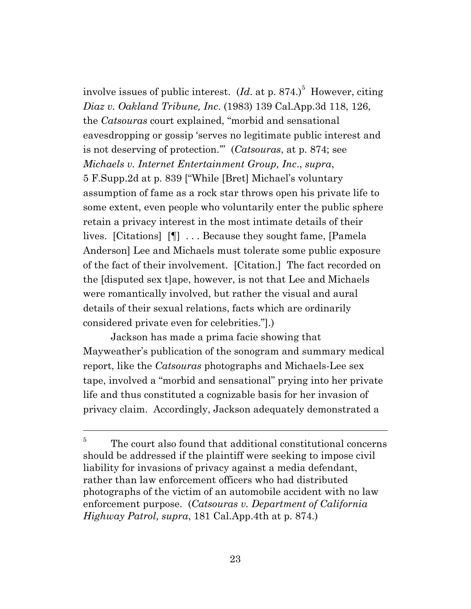involve issues of public interest.  $(Id.$  at p. 874.)<sup>5</sup> However, citing *Diaz v. Oakland Tribune, Inc*. (1983) 139 Cal.App.3d 118, 126, the *Catsouras* court explained, "morbid and sensational eavesdropping or gossip 'serves no legitimate public interest and is not deserving of protection.'" (*Catsouras*, at p. 874; see *Michaels v. Internet Entertainment Group, Inc*., *supra*, 5 F.Supp.2d at p. 839 ["While [Bret] Michael's voluntary assumption of fame as a rock star throws open his private life to some extent, even people who voluntarily enter the public sphere retain a privacy interest in the most intimate details of their lives. [Citations] [¶] . . . Because they sought fame, [Pamela Anderson] Lee and Michaels must tolerate some public exposure of the fact of their involvement. [Citation.] The fact recorded on the [disputed sex t]ape, however, is not that Lee and Michaels were romantically involved, but rather the visual and aural details of their sexual relations, facts which are ordinarily considered private even for celebrities."].)

Jackson has made a prima facie showing that Mayweather's publication of the sonogram and summary medical report, like the *Catsouras* photographs and Michaels-Lee sex tape, involved a "morbid and sensational" prying into her private life and thus constituted a cognizable basis for her invasion of privacy claim. Accordingly, Jackson adequately demonstrated a

<sup>5</sup> The court also found that additional constitutional concerns should be addressed if the plaintiff were seeking to impose civil liability for invasions of privacy against a media defendant, rather than law enforcement officers who had distributed photographs of the victim of an automobile accident with no law enforcement purpose. (*Catsouras v. Department of California Highway Patrol, supra*, 181 Cal.App.4th at p. 874.)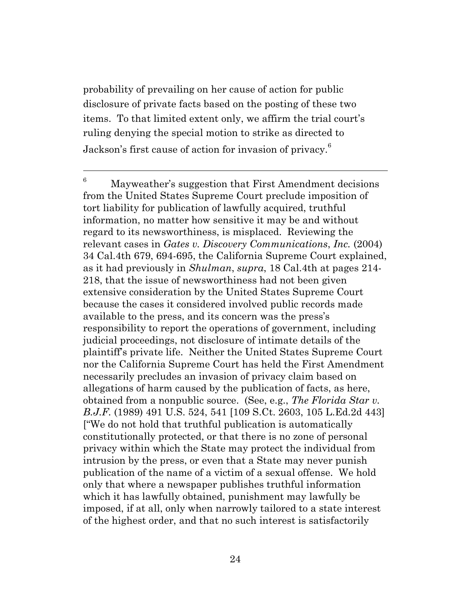probability of prevailing on her cause of action for public disclosure of private facts based on the posting of these two items. To that limited extent only, we affirm the trial court's ruling denying the special motion to strike as directed to Jackson's first cause of action for invasion of privacy. $^6$ 

 $6$  Mayweather's suggestion that First Amendment decisions from the United States Supreme Court preclude imposition of tort liability for publication of lawfully acquired, truthful information, no matter how sensitive it may be and without regard to its newsworthiness, is misplaced. Reviewing the relevant cases in *Gates v. Discovery Communications*, *Inc.* (2004) 34 Cal.4th 679, 694-695, the California Supreme Court explained, as it had previously in *Shulman*, *supra*, 18 Cal.4th at pages 214- 218, that the issue of newsworthiness had not been given extensive consideration by the United States Supreme Court because the cases it considered involved public records made available to the press, and its concern was the press's responsibility to report the operations of government, including judicial proceedings, not disclosure of intimate details of the plaintiff's private life. Neither the United States Supreme Court nor the California Supreme Court has held the First Amendment necessarily precludes an invasion of privacy claim based on allegations of harm caused by the publication of facts, as here, obtained from a nonpublic source. (See, e.g., *The Florida Star v. B.J.F.* (1989) 491 U.S. 524, 541 [109 S.Ct. 2603, 105 L.Ed.2d 443] ["We do not hold that truthful publication is automatically constitutionally protected, or that there is no zone of personal privacy within which the State may protect the individual from intrusion by the press, or even that a State may never punish publication of the name of a victim of a sexual offense. We hold only that where a newspaper publishes truthful information which it has lawfully obtained, punishment may lawfully be imposed, if at all, only when narrowly tailored to a state interest of the highest order, and that no such interest is satisfactorily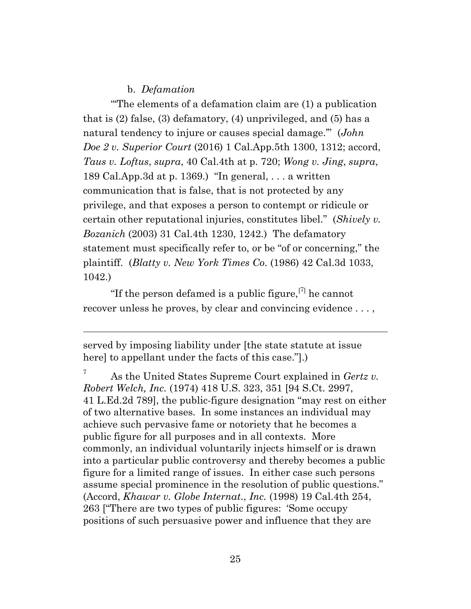#### b. *Defamation*

"'The elements of a defamation claim are (1) a publication that is (2) false, (3) defamatory, (4) unprivileged, and (5) has a natural tendency to injure or causes special damage.'" (*John Doe 2 v. Superior Court* (2016) 1 Cal.App.5th 1300, 1312; accord, *Taus v. Loftus*, *supra*, 40 Cal.4th at p. 720; *Wong v. Jing*, *supra*, 189 Cal.App.3d at p. 1369.) "In general, . . . a written communication that is false, that is not protected by any privilege, and that exposes a person to contempt or ridicule or certain other reputational injuries, constitutes libel." (*Shively v. Bozanich* (2003) 31 Cal.4th 1230, 1242.) The defamatory statement must specifically refer to, or be "of or concerning," the plaintiff. (*Blatty v. New York Times Co*. (1986) 42 Cal.3d 1033, 1042.)

"If the person defamed is a public figure,  $[7]$  he cannot recover unless he proves, by clear and convincing evidence . . . ,

served by imposing liability under [the state statute at issue here] to appellant under the facts of this case."].)

<sup>7</sup> As the United States Supreme Court explained in *Gertz v. Robert Welch, Inc.* (1974) 418 U.S. 323, 351 [94 S.Ct. 2997, 41 L.Ed.2d 789], the public-figure designation "may rest on either of two alternative bases. In some instances an individual may achieve such pervasive fame or notoriety that he becomes a public figure for all purposes and in all contexts. More commonly, an individual voluntarily injects himself or is drawn into a particular public controversy and thereby becomes a public figure for a limited range of issues. In either case such persons assume special prominence in the resolution of public questions." (Accord, *Khawar v. Globe Internat*., *Inc.* (1998) 19 Cal.4th 254, 263 ["There are two types of public figures: 'Some occupy positions of such persuasive power and influence that they are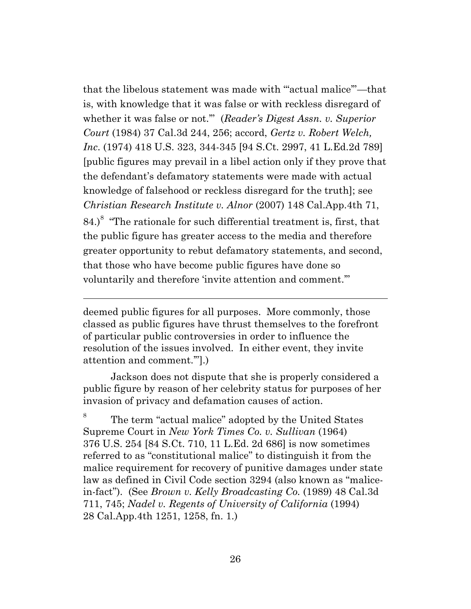that the libelous statement was made with '"actual malice'"—that is, with knowledge that it was false or with reckless disregard of whether it was false or not.'" (*Reader's Digest Assn. v. Superior Court* (1984) 37 Cal.3d 244, 256; accord, *Gertz v. Robert Welch, Inc*. (1974) 418 U.S. 323, 344-345 [94 S.Ct. 2997, 41 L.Ed.2d 789] [public figures may prevail in a libel action only if they prove that the defendant's defamatory statements were made with actual knowledge of falsehood or reckless disregard for the truth]; see *Christian Research Institute v. Alnor* (2007) 148 Cal.App.4th 71, 84.)<sup>8</sup> "The rationale for such differential treatment is, first, that the public figure has greater access to the media and therefore greater opportunity to rebut defamatory statements, and second, that those who have become public figures have done so voluntarily and therefore 'invite attention and comment.'"

deemed public figures for all purposes. More commonly, those classed as public figures have thrust themselves to the forefront of particular public controversies in order to influence the resolution of the issues involved. In either event, they invite attention and comment.'"].)

Jackson does not dispute that she is properly considered a public figure by reason of her celebrity status for purposes of her invasion of privacy and defamation causes of action.

8 The term "actual malice" adopted by the United States Supreme Court in *New York Times Co. v. Sullivan* (1964) 376 U.S. 254 [84 S.Ct. 710, 11 L.Ed. 2d 686] is now sometimes referred to as "constitutional malice" to distinguish it from the malice requirement for recovery of punitive damages under state law as defined in Civil Code section 3294 (also known as "malicein-fact"). (See *Brown v. Kelly Broadcasting Co.* (1989) 48 Cal.3d 711, 745; *Nadel v. Regents of University of California* (1994) 28 Cal.App.4th 1251, 1258, fn. 1.)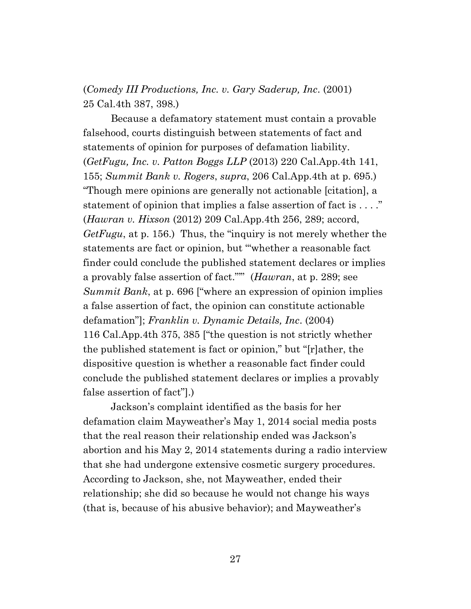(*Comedy III Productions, Inc. v. Gary Saderup, Inc*. (2001) 25 Cal.4th 387, 398.)

Because a defamatory statement must contain a provable falsehood, courts distinguish between statements of fact and statements of opinion for purposes of defamation liability. (*GetFugu, Inc. v. Patton Boggs LLP* (2013) 220 Cal.App.4th 141, 155; *Summit Bank v. Rogers*, *supra*, 206 Cal.App.4th at p. 695.) "Though mere opinions are generally not actionable [citation], a statement of opinion that implies a false assertion of fact is . . . ." (*Hawran v. Hixson* (2012) 209 Cal.App.4th 256, 289; accord, *GetFugu*, at p. 156.) Thus, the "inquiry is not merely whether the statements are fact or opinion, but '"whether a reasonable fact finder could conclude the published statement declares or implies a provably false assertion of fact."'" (*Hawran*, at p. 289; see *Summit Bank*, at p. 696 ["where an expression of opinion implies a false assertion of fact, the opinion can constitute actionable defamation"]; *Franklin v. Dynamic Details, Inc*. (2004) 116 Cal.App.4th 375, 385 ["the question is not strictly whether the published statement is fact or opinion," but "[r]ather, the dispositive question is whether a reasonable fact finder could conclude the published statement declares or implies a provably false assertion of fact"].)

Jackson's complaint identified as the basis for her defamation claim Mayweather's May 1, 2014 social media posts that the real reason their relationship ended was Jackson's abortion and his May 2, 2014 statements during a radio interview that she had undergone extensive cosmetic surgery procedures. According to Jackson, she, not Mayweather, ended their relationship; she did so because he would not change his ways (that is, because of his abusive behavior); and Mayweather's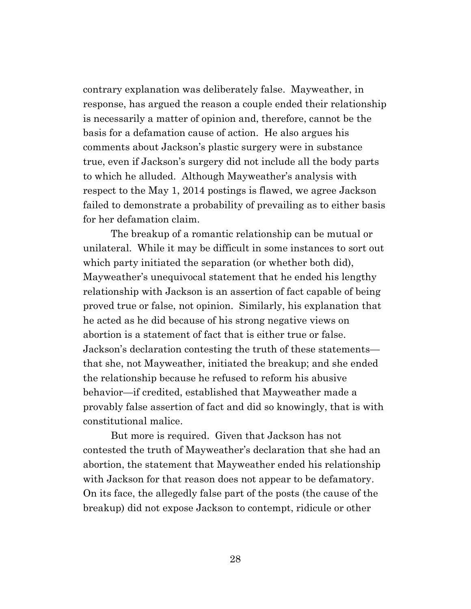contrary explanation was deliberately false. Mayweather, in response, has argued the reason a couple ended their relationship is necessarily a matter of opinion and, therefore, cannot be the basis for a defamation cause of action. He also argues his comments about Jackson's plastic surgery were in substance true, even if Jackson's surgery did not include all the body parts to which he alluded. Although Mayweather's analysis with respect to the May 1, 2014 postings is flawed, we agree Jackson failed to demonstrate a probability of prevailing as to either basis for her defamation claim.

The breakup of a romantic relationship can be mutual or unilateral. While it may be difficult in some instances to sort out which party initiated the separation (or whether both did), Mayweather's unequivocal statement that he ended his lengthy relationship with Jackson is an assertion of fact capable of being proved true or false, not opinion. Similarly, his explanation that he acted as he did because of his strong negative views on abortion is a statement of fact that is either true or false. Jackson's declaration contesting the truth of these statements that she, not Mayweather, initiated the breakup; and she ended the relationship because he refused to reform his abusive behavior—if credited, established that Mayweather made a provably false assertion of fact and did so knowingly, that is with constitutional malice.

But more is required. Given that Jackson has not contested the truth of Mayweather's declaration that she had an abortion, the statement that Mayweather ended his relationship with Jackson for that reason does not appear to be defamatory. On its face, the allegedly false part of the posts (the cause of the breakup) did not expose Jackson to contempt, ridicule or other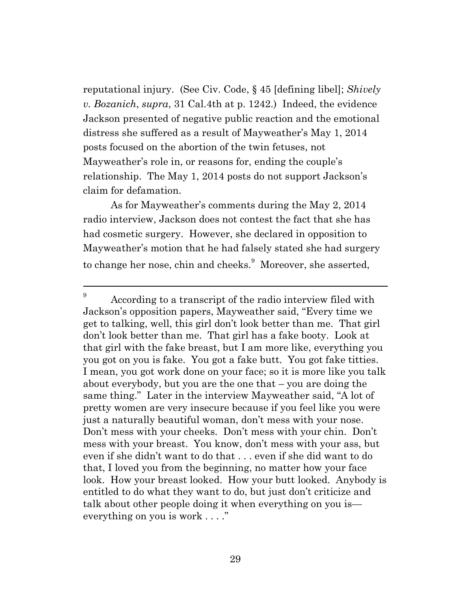reputational injury. (See Civ. Code, § 45 [defining libel]; *Shively v. Bozanich*, *supra*, 31 Cal.4th at p. 1242.) Indeed, the evidence Jackson presented of negative public reaction and the emotional distress she suffered as a result of Mayweather's May 1, 2014 posts focused on the abortion of the twin fetuses, not Mayweather's role in, or reasons for, ending the couple's relationship. The May 1, 2014 posts do not support Jackson's claim for defamation.

As for Mayweather's comments during the May 2, 2014 radio interview, Jackson does not contest the fact that she has had cosmetic surgery. However, she declared in opposition to Mayweather's motion that he had falsely stated she had surgery to change her nose, chin and cheeks.<sup>9</sup> Moreover, she asserted,

<sup>9</sup> According to a transcript of the radio interview filed with Jackson's opposition papers, Mayweather said, "Every time we get to talking, well, this girl don't look better than me. That girl don't look better than me. That girl has a fake booty. Look at that girl with the fake breast, but I am more like, everything you you got on you is fake. You got a fake butt. You got fake titties. I mean, you got work done on your face; so it is more like you talk about everybody, but you are the one that – you are doing the same thing." Later in the interview Mayweather said, "A lot of pretty women are very insecure because if you feel like you were just a naturally beautiful woman, don't mess with your nose. Don't mess with your cheeks. Don't mess with your chin. Don't mess with your breast. You know, don't mess with your ass, but even if she didn't want to do that . . . even if she did want to do that, I loved you from the beginning, no matter how your face look. How your breast looked. How your butt looked. Anybody is entitled to do what they want to do, but just don't criticize and talk about other people doing it when everything on you is everything on you is work . . . ."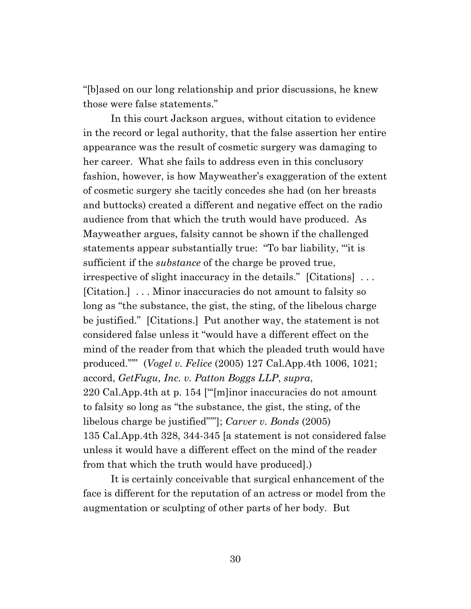"[b]ased on our long relationship and prior discussions, he knew those were false statements."

In this court Jackson argues, without citation to evidence in the record or legal authority, that the false assertion her entire appearance was the result of cosmetic surgery was damaging to her career. What she fails to address even in this conclusory fashion, however, is how Mayweather's exaggeration of the extent of cosmetic surgery she tacitly concedes she had (on her breasts and buttocks) created a different and negative effect on the radio audience from that which the truth would have produced. As Mayweather argues, falsity cannot be shown if the challenged statements appear substantially true: "To bar liability, '"it is sufficient if the *substance* of the charge be proved true, irrespective of slight inaccuracy in the details." [Citations] . . . [Citation.] . . . Minor inaccuracies do not amount to falsity so long as "the substance, the gist, the sting, of the libelous charge be justified." [Citations.] Put another way, the statement is not considered false unless it "would have a different effect on the mind of the reader from that which the pleaded truth would have produced."'" (*Vogel v. Felice* (2005) 127 Cal.App.4th 1006, 1021; accord, *GetFugu, Inc. v. Patton Boggs LLP*, *supra*, 220 Cal.App.4th at p. 154 ["'[m]inor inaccuracies do not amount to falsity so long as "the substance, the gist, the sting, of the libelous charge be justified"'"]; *Carver v. Bonds* (2005) 135 Cal.App.4th 328, 344-345 [a statement is not considered false unless it would have a different effect on the mind of the reader from that which the truth would have produced].)

It is certainly conceivable that surgical enhancement of the face is different for the reputation of an actress or model from the augmentation or sculpting of other parts of her body. But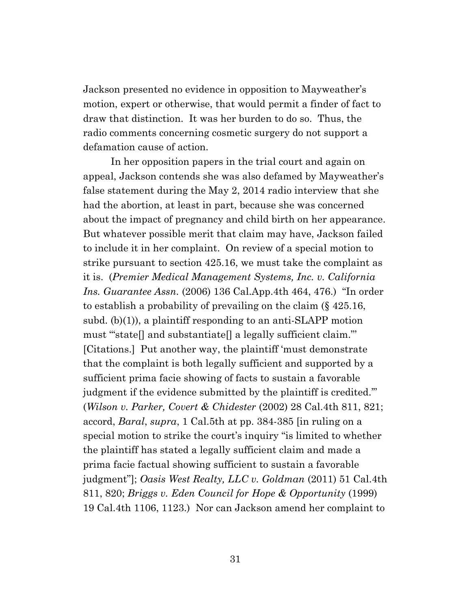Jackson presented no evidence in opposition to Mayweather's motion, expert or otherwise, that would permit a finder of fact to draw that distinction. It was her burden to do so. Thus, the radio comments concerning cosmetic surgery do not support a defamation cause of action.

In her opposition papers in the trial court and again on appeal, Jackson contends she was also defamed by Mayweather's false statement during the May 2, 2014 radio interview that she had the abortion, at least in part, because she was concerned about the impact of pregnancy and child birth on her appearance. But whatever possible merit that claim may have, Jackson failed to include it in her complaint. On review of a special motion to strike pursuant to section 425.16, we must take the complaint as it is. (*Premier Medical Management Systems, Inc. v. California Ins. Guarantee Assn.* (2006) 136 Cal.App.4th 464, 476.) "In order to establish a probability of prevailing on the claim (§ 425.16, subd. (b)(1)), a plaintiff responding to an anti-SLAPP motion must '"state[] and substantiate[] a legally sufficient claim."' [Citations.] Put another way, the plaintiff 'must demonstrate that the complaint is both legally sufficient and supported by a sufficient prima facie showing of facts to sustain a favorable judgment if the evidence submitted by the plaintiff is credited.'" (*Wilson v. Parker, Covert & Chidester* (2002) 28 Cal.4th 811, 821; accord, *Baral*, *supra*, 1 Cal.5th at pp. 384-385 [in ruling on a special motion to strike the court's inquiry "is limited to whether the plaintiff has stated a legally sufficient claim and made a prima facie factual showing sufficient to sustain a favorable judgment"]; *Oasis West Realty, LLC v. Goldman* (2011) 51 Cal.4th 811, 820; *Briggs v. Eden Council for Hope & Opportunity* (1999) 19 Cal.4th 1106, 1123.) Nor can Jackson amend her complaint to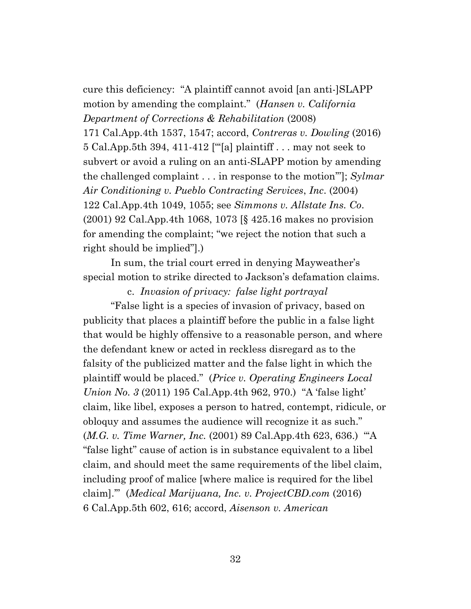cure this deficiency: "A plaintiff cannot avoid [an anti-]SLAPP motion by amending the complaint." (*Hansen v. California Department of Corrections & Rehabilitation* (2008) 171 Cal.App.4th 1537, 1547; accord, *Contreras v. Dowling* (2016) 5 Cal.App.5th 394, 411-412 ["'[a] plaintiff . . . may not seek to subvert or avoid a ruling on an anti-SLAPP motion by amending the challenged complaint . . . in response to the motion'"]; *Sylmar Air Conditioning v. Pueblo Contracting Services*, *Inc*. (2004) 122 Cal.App.4th 1049, 1055; see *Simmons v. Allstate Ins. Co*. (2001) 92 Cal.App.4th 1068, 1073 [§ 425.16 makes no provision for amending the complaint; "we reject the notion that such a right should be implied"].)

In sum, the trial court erred in denying Mayweather's special motion to strike directed to Jackson's defamation claims.

c. *Invasion of privacy: false light portrayal* "False light is a species of invasion of privacy, based on publicity that places a plaintiff before the public in a false light that would be highly offensive to a reasonable person, and where the defendant knew or acted in reckless disregard as to the falsity of the publicized matter and the false light in which the plaintiff would be placed." (*Price v. Operating Engineers Local Union No. 3* (2011) 195 Cal.App.4th 962, 970.) "A 'false light' claim, like libel, exposes a person to hatred, contempt, ridicule, or obloquy and assumes the audience will recognize it as such." (*M.G. v. Time Warner, Inc.* (2001) 89 Cal.App.4th 623, 636.) "'A "false light" cause of action is in substance equivalent to a libel claim, and should meet the same requirements of the libel claim, including proof of malice [where malice is required for the libel claim].'"(*Medical Marijuana, Inc. v. ProjectCBD.com* (2016) 6 Cal.App.5th 602, 616; accord, *Aisenson v. American*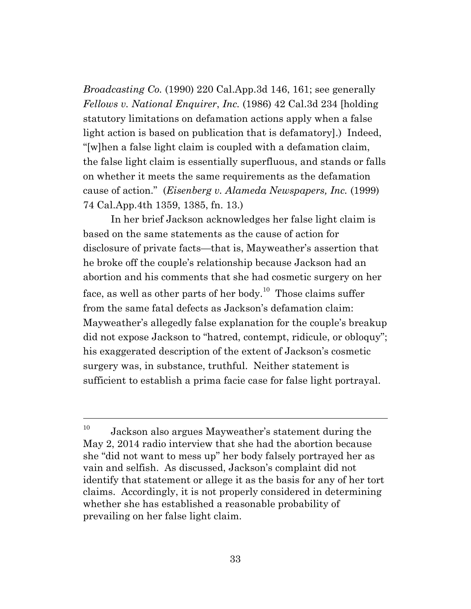*Broadcasting Co.* (1990) 220 Cal.App.3d 146, 161; see generally *Fellows v. National Enquirer*, *Inc.* (1986) 42 Cal.3d 234 [holding statutory limitations on defamation actions apply when a false light action is based on publication that is defamatory].) Indeed, "[w]hen a false light claim is coupled with a defamation claim, the false light claim is essentially superfluous, and stands or falls on whether it meets the same requirements as the defamation cause of action." (*Eisenberg v. Alameda Newspapers, Inc.* (1999) 74 Cal.App.4th 1359, 1385, fn. 13.)

In her brief Jackson acknowledges her false light claim is based on the same statements as the cause of action for disclosure of private facts—that is, Mayweather's assertion that he broke off the couple's relationship because Jackson had an abortion and his comments that she had cosmetic surgery on her face, as well as other parts of her body.<sup>10</sup> Those claims suffer from the same fatal defects as Jackson's defamation claim: Mayweather's allegedly false explanation for the couple's breakup did not expose Jackson to "hatred, contempt, ridicule, or obloquy"; his exaggerated description of the extent of Jackson's cosmetic surgery was, in substance, truthful. Neither statement is sufficient to establish a prima facie case for false light portrayal.

 $10$  Jackson also argues Mayweather's statement during the May 2, 2014 radio interview that she had the abortion because she "did not want to mess up" her body falsely portrayed her as vain and selfish. As discussed, Jackson's complaint did not identify that statement or allege it as the basis for any of her tort claims. Accordingly, it is not properly considered in determining whether she has established a reasonable probability of prevailing on her false light claim.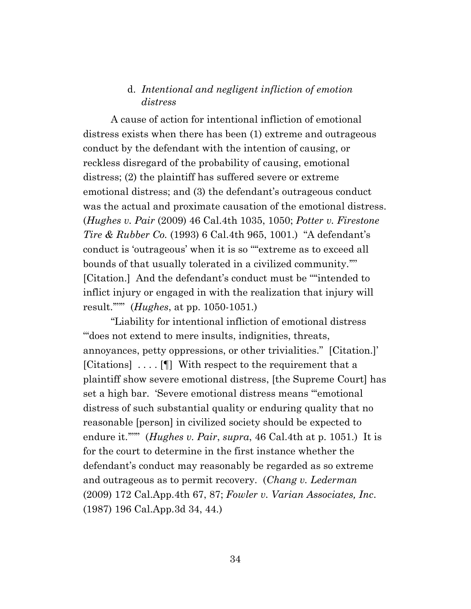# d. *Intentional and negligent infliction of emotion distress*

A cause of action for intentional infliction of emotional distress exists when there has been (1) extreme and outrageous conduct by the defendant with the intention of causing, or reckless disregard of the probability of causing, emotional distress; (2) the plaintiff has suffered severe or extreme emotional distress; and (3) the defendant's outrageous conduct was the actual and proximate causation of the emotional distress. (*Hughes v. Pair* (2009) 46 Cal.4th 1035, 1050; *Potter v. Firestone Tire & Rubber Co.* (1993) 6 Cal.4th 965, 1001.) "A defendant's conduct is 'outrageous' when it is so '"'extreme as to exceed all bounds of that usually tolerated in a civilized community.'"' [Citation.] And the defendant's conduct must be ""intended to inflict injury or engaged in with the realization that injury will result.'"'" (*Hughes*, at pp. 1050-1051.)

"Liability for intentional infliction of emotional distress '"does not extend to mere insults, indignities, threats, annoyances, petty oppressions, or other trivialities." [Citation.]' [Citations] . . . . [¶] With respect to the requirement that a plaintiff show severe emotional distress, [the Supreme Court] has set a high bar. 'Severe emotional distress means "'emotional distress of such substantial quality or enduring quality that no reasonable [person] in civilized society should be expected to endure it.""" (*Hughes v. Pair*, *supra*, 46 Cal.4th at p. 1051.) It is for the court to determine in the first instance whether the defendant's conduct may reasonably be regarded as so extreme and outrageous as to permit recovery. (*Chang v. Lederman* (2009) 172 Cal.App.4th 67, 87; *Fowler v. Varian Associates, Inc*. (1987) 196 Cal.App.3d 34, 44.)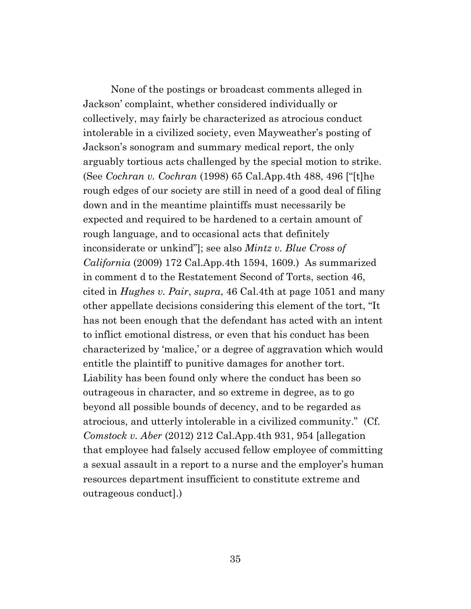None of the postings or broadcast comments alleged in Jackson' complaint, whether considered individually or collectively, may fairly be characterized as atrocious conduct intolerable in a civilized society, even Mayweather's posting of Jackson's sonogram and summary medical report, the only arguably tortious acts challenged by the special motion to strike. (See *Cochran v. Cochran* (1998) 65 Cal.App.4th 488, 496 ["[t]he rough edges of our society are still in need of a good deal of filing down and in the meantime plaintiffs must necessarily be expected and required to be hardened to a certain amount of rough language, and to occasional acts that definitely inconsiderate or unkind"]; see also *Mintz v. Blue Cross of California* (2009) 172 Cal.App.4th 1594, 1609.) As summarized in comment d to the Restatement Second of Torts, section 46, cited in *Hughes v. Pair*, *supra*, 46 Cal.4th at page 1051 and many other appellate decisions considering this element of the tort, "It has not been enough that the defendant has acted with an intent to inflict emotional distress, or even that his conduct has been characterized by 'malice,' or a degree of aggravation which would entitle the plaintiff to punitive damages for another tort. Liability has been found only where the conduct has been so outrageous in character, and so extreme in degree, as to go beyond all possible bounds of decency, and to be regarded as atrocious, and utterly intolerable in a civilized community." (Cf. *Comstock v. Aber* (2012) 212 Cal.App.4th 931, 954 [allegation that employee had falsely accused fellow employee of committing a sexual assault in a report to a nurse and the employer's human resources department insufficient to constitute extreme and outrageous conduct].)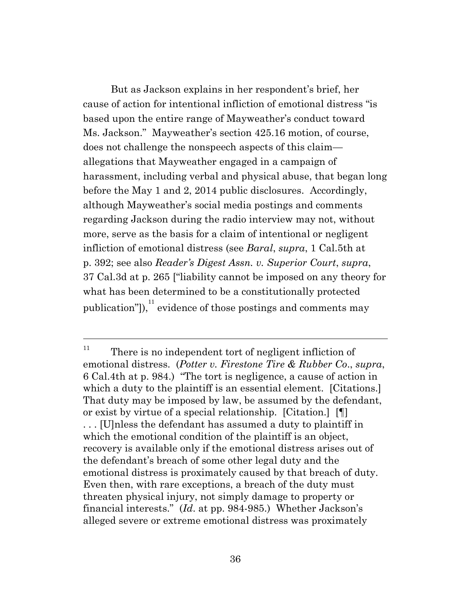But as Jackson explains in her respondent's brief, her cause of action for intentional infliction of emotional distress "is based upon the entire range of Mayweather's conduct toward Ms. Jackson." Mayweather's section 425.16 motion, of course, does not challenge the nonspeech aspects of this claim allegations that Mayweather engaged in a campaign of harassment, including verbal and physical abuse, that began long before the May 1 and 2, 2014 public disclosures. Accordingly, although Mayweather's social media postings and comments regarding Jackson during the radio interview may not, without more, serve as the basis for a claim of intentional or negligent infliction of emotional distress (see *Baral*, *supra*, 1 Cal.5th at p. 392; see also *Reader's Digest Assn. v. Superior Court*, *supra*, 37 Cal.3d at p. 265 ["liability cannot be imposed on any theory for what has been determined to be a constitutionally protected publication"]),  $11$  evidence of those postings and comments may

 $11$  There is no independent tort of negligent infliction of emotional distress. (*Potter v. Firestone Tire & Rubber Co*., *supra*, 6 Cal.4th at p. 984.) "The tort is negligence, a cause of action in which a duty to the plaintiff is an essential element. [Citations.] That duty may be imposed by law, be assumed by the defendant, or exist by virtue of a special relationship. [Citation.] [¶] . . . [U]nless the defendant has assumed a duty to plaintiff in which the emotional condition of the plaintiff is an object, recovery is available only if the emotional distress arises out of the defendant's breach of some other legal duty and the emotional distress is proximately caused by that breach of duty. Even then, with rare exceptions, a breach of the duty must threaten physical injury, not simply damage to property or financial interests." (*Id*. at pp. 984-985.) Whether Jackson's alleged severe or extreme emotional distress was proximately